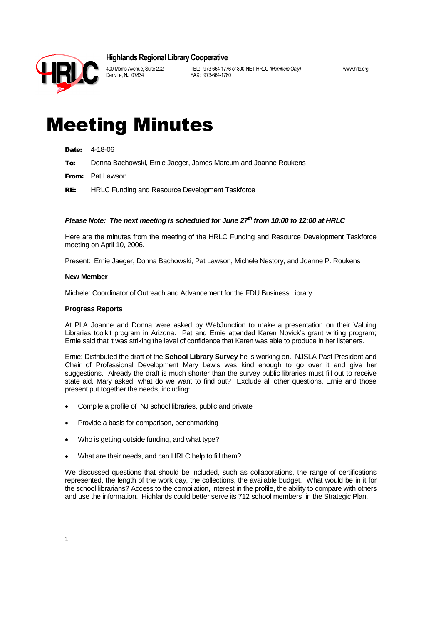## **Highlands Regional Library Cooperative**



400 Morris Avenue, Suite 202 TEL: 973-664-1776 or 800-NET-HRLC *(Members Only)* www.hrlc.org FAX: 973-664-1780

# Meeting Minutes

|  | Date: | 4-18-06 |
|--|-------|---------|
|--|-------|---------|

To: Donna Bachowski, Ernie Jaeger, James Marcum and Joanne Roukens

**From:** Pat Lawson

RE: HRLC Funding and Resource Development Taskforce

### *Please Note: The next meeting is scheduled for June 27th from 10:00 to 12:00 at HRLC*

Here are the minutes from the meeting of the HRLC Funding and Resource Development Taskforce meeting on April 10, 2006.

Present: Ernie Jaeger, Donna Bachowski, Pat Lawson, Michele Nestory, and Joanne P. Roukens

#### **New Member**

Michele: Coordinator of Outreach and Advancement for the FDU Business Library.

#### **Progress Reports**

At PLA Joanne and Donna were asked by WebJunction to make a presentation on their Valuing Libraries toolkit program in Arizona. Pat and Ernie attended Karen Novick's grant writing program; Ernie said that it was striking the level of confidence that Karen was able to produce in her listeners.

Ernie: Distributed the draft of the **School Library Survey** he is working on. NJSLA Past President and Chair of Professional Development Mary Lewis was kind enough to go over it and give her suggestions. Already the draft is much shorter than the survey public libraries must fill out to receive state aid. Mary asked, what do we want to find out? Exclude all other questions. Ernie and those present put together the needs, including:

- Compile a profile of NJ school libraries, public and private
- Provide a basis for comparison, benchmarking
- Who is getting outside funding, and what type?
- What are their needs, and can HRLC help to fill them?

We discussed questions that should be included, such as collaborations, the range of certifications represented, the length of the work day, the collections, the available budget. What would be in it for the school librarians? Access to the compilation, interest in the profile, the ability to compare with others and use the information. Highlands could better serve its 712 school members in the Strategic Plan.